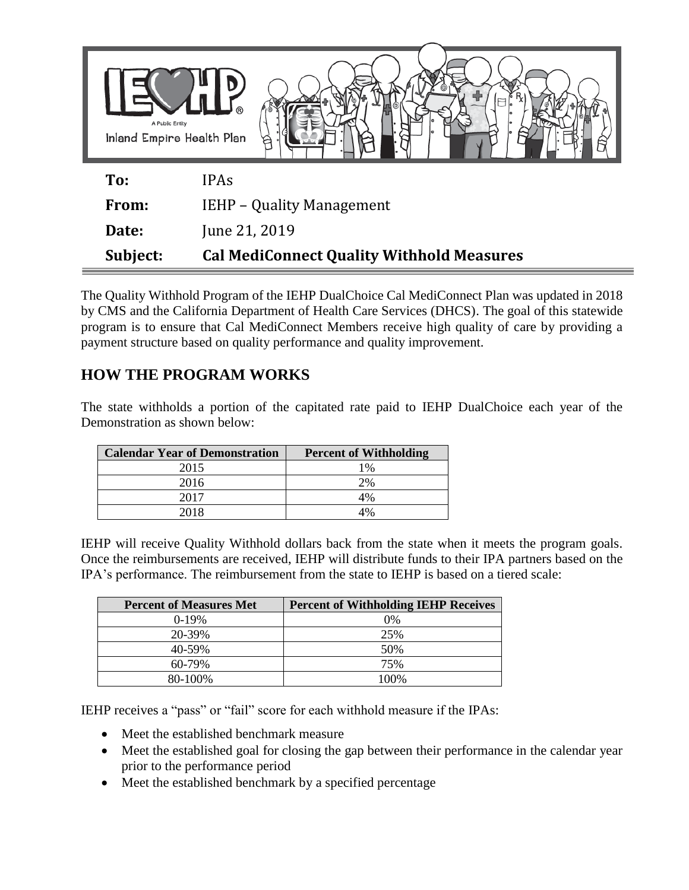| A Public Entity<br>Inland Empire Health Plan |                                                  |
|----------------------------------------------|--------------------------------------------------|
| To:                                          | <b>IPAs</b>                                      |
| From:                                        | <b>IEHP - Quality Management</b>                 |
| Date:                                        | June 21, 2019                                    |
| Subject:                                     | <b>Cal MediConnect Quality Withhold Measures</b> |

The Quality Withhold Program of the IEHP DualChoice Cal MediConnect Plan was updated in 2018 by CMS and the California Department of Health Care Services (DHCS). The goal of this statewide program is to ensure that Cal MediConnect Members receive high quality of care by providing a payment structure based on quality performance and quality improvement.

## **HOW THE PROGRAM WORKS**

The state withholds a portion of the capitated rate paid to IEHP DualChoice each year of the Demonstration as shown below:

| <b>Calendar Year of Demonstration</b> | <b>Percent of Withholding</b> |
|---------------------------------------|-------------------------------|
| 2015                                  | $1\%$                         |
| 2016                                  | 2%                            |
| 2017                                  | 4%                            |
| 2018                                  | 4%                            |

IEHP will receive Quality Withhold dollars back from the state when it meets the program goals. Once the reimbursements are received, IEHP will distribute funds to their IPA partners based on the IPA's performance. The reimbursement from the state to IEHP is based on a tiered scale:

| <b>Percent of Measures Met</b> | <b>Percent of Withholding IEHP Receives</b> |
|--------------------------------|---------------------------------------------|
| $0-19%$                        | 0%                                          |
| 20-39%                         | 25%                                         |
| 40-59%                         | 50%                                         |
| $60 - 79\%$                    | 75%                                         |
| 80-100%                        | 100%                                        |

IEHP receives a "pass" or "fail" score for each withhold measure if the IPAs:

- Meet the established benchmark measure
- Meet the established goal for closing the gap between their performance in the calendar year prior to the performance period
- Meet the established benchmark by a specified percentage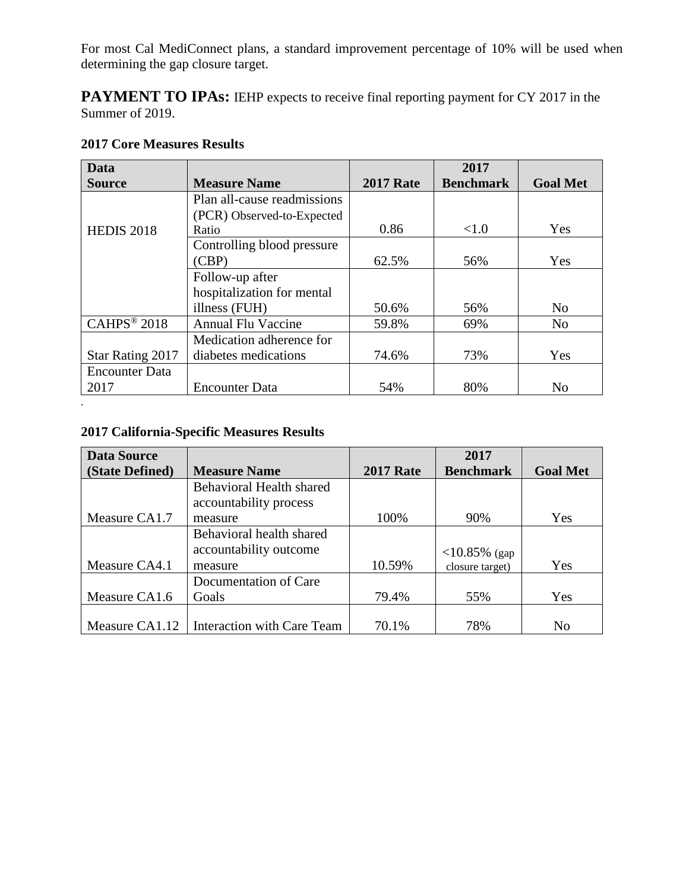For most Cal MediConnect plans, a standard improvement percentage of 10% will be used when determining the gap closure target.

**PAYMENT TO IPAs:** IEHP expects to receive final reporting payment for CY 2017 in the Summer of 2019.

| Data                    |                             |                  | 2017             |                 |
|-------------------------|-----------------------------|------------------|------------------|-----------------|
| <b>Source</b>           | <b>Measure Name</b>         | <b>2017 Rate</b> | <b>Benchmark</b> | <b>Goal Met</b> |
|                         | Plan all-cause readmissions |                  |                  |                 |
|                         | (PCR) Observed-to-Expected  |                  |                  |                 |
| <b>HEDIS 2018</b>       | Ratio                       | 0.86             | <1.0             | Yes             |
|                         | Controlling blood pressure  |                  |                  |                 |
|                         | (CBP)                       | 62.5%            | 56%              | Yes             |
|                         | Follow-up after             |                  |                  |                 |
|                         | hospitalization for mental  |                  |                  |                 |
|                         | illness (FUH)               | 50.6%            | 56%              | N <sub>0</sub>  |
| CAHPS <sup>®</sup> 2018 | <b>Annual Flu Vaccine</b>   | 59.8%            | 69%              | No              |
|                         | Medication adherence for    |                  |                  |                 |
| Star Rating 2017        | diabetes medications        | 74.6%            | 73%              | Yes             |
| <b>Encounter Data</b>   |                             |                  |                  |                 |
| 2017                    | <b>Encounter Data</b>       | 54%              | 80%              | No              |

## **2017 Core Measures Results**

## **2017 California-Specific Measures Results**

*.*

| <b>Data Source</b> |                                                           |                  | 2017             |                 |
|--------------------|-----------------------------------------------------------|------------------|------------------|-----------------|
| (State Defined)    | <b>Measure Name</b>                                       | <b>2017 Rate</b> | <b>Benchmark</b> | <b>Goal Met</b> |
|                    | <b>Behavioral Health shared</b><br>accountability process |                  |                  |                 |
| Measure CA1.7      | measure                                                   | 100%             | 90%              | Yes             |
|                    | Behavioral health shared                                  |                  |                  |                 |
|                    | accountability outcome                                    |                  | $<$ 10.85% (gap) |                 |
| Measure CA4.1      | measure                                                   | 10.59%           | closure target)  | Yes             |
|                    | Documentation of Care                                     |                  |                  |                 |
| Measure CA1.6      | Goals                                                     | 79.4%            | 55%              | Yes             |
|                    |                                                           |                  |                  |                 |
| Measure CA1.12     | <b>Interaction with Care Team</b>                         | 70.1%            | 78%              | No              |